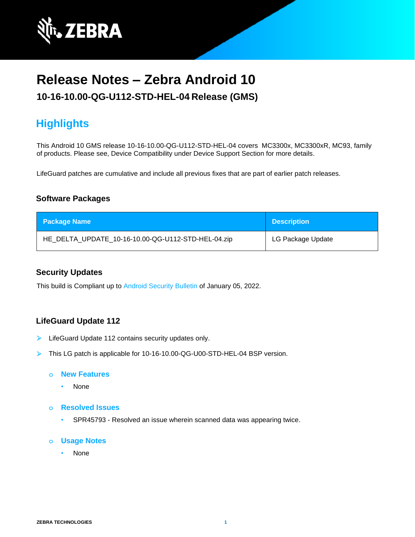

# **Release Notes – Zebra Android 10**

## **10-16-10.00-QG-U112-STD-HEL-04 Release (GMS)**

## **Highlights**

This Android 10 GMS release 10-16-10.00-QG-U112-STD-HEL-04 covers MC3300x, MC3300xR, MC93, family of products. Please see, Device Compatibility under Device Support Section for more details.

LifeGuard patches are cumulative and include all previous fixes that are part of earlier patch releases.

## **Software Packages**

| <b>Package Name</b>                                | <b>Description</b> |
|----------------------------------------------------|--------------------|
| HE_DELTA_UPDATE_10-16-10.00-QG-U112-STD-HEL-04.zip | LG Package Update  |

### **Security Updates**

This build is Compliant up to [Android Security Bulletin](https://source.android.com/security/bulletin/) of January 05, 2022.

## **LifeGuard Update 112**

- LifeGuard Update 112 contains security updates only.
- ➢ This LG patch is applicable for 10-16-10.00-QG-U00-STD-HEL-04 BSP version.

#### **o New Features**

- None
- **o Resolved Issues**
	- SPR45793 Resolved an issue wherein scanned data was appearing twice.

#### **o Usage Notes**

• None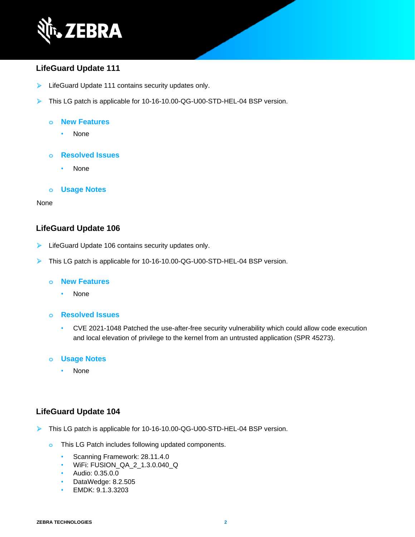

## **LifeGuard Update 111**

- ➢ LifeGuard Update 111 contains security updates only.
- ➢ This LG patch is applicable for 10-16-10.00-QG-U00-STD-HEL-04 BSP version.

#### **o New Features**

- None
- **o Resolved Issues**
	- None

#### **o Usage Notes**

#### None

### **LifeGuard Update 106**

- ➢ LifeGuard Update 106 contains security updates only.
- ➢ This LG patch is applicable for 10-16-10.00-QG-U00-STD-HEL-04 BSP version.

#### **o New Features**

• None

#### **o Resolved Issues**

• CVE 2021-1048 Patched the use-after-free security vulnerability which could allow code execution and local elevation of privilege to the kernel from an untrusted application (SPR 45273).

#### **o Usage Notes**

• None

## **LifeGuard Update 104**

- ➢ This LG patch is applicable for 10-16-10.00-QG-U00-STD-HEL-04 BSP version.
	- **o** This LG Patch includes following updated components.
		- Scanning Framework: 28.11.4.0
		- WiFi: FUSION\_QA\_2\_1.3.0.040\_Q
		- Audio: 0.35.0.0
		- DataWedge: 8.2.505
		- EMDK: 9.1.3.3203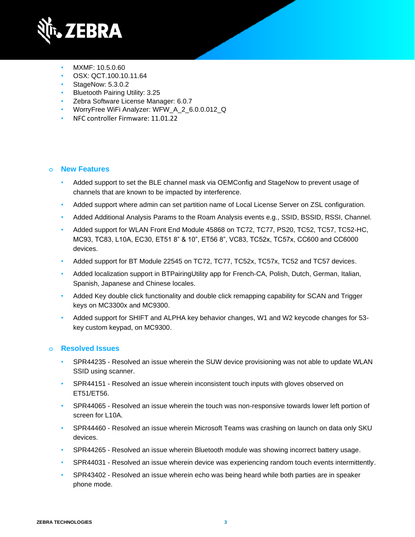

- MXMF: 10.5.0.60
- OSX: QCT.100.10.11.64
- StageNow: 5.3.0.2
- Bluetooth Pairing Utility: 3.25
- Zebra Software License Manager: 6.0.7
- WorryFree WiFi Analyzer: WFW\_A\_2\_6.0.0.012\_Q
- NFC controller Firmware: 11.01.22

## **o New Features**

- Added support to set the BLE channel mask via OEMConfig and StageNow to prevent usage of channels that are known to be impacted by interference.
- Added support where admin can set partition name of Local License Server on ZSL configuration.
- Added Additional Analysis Params to the Roam Analysis events e.g., SSID, BSSID, RSSI, Channel.
- Added support for WLAN Front End Module 45868 on TC72, TC77, PS20, TC52, TC57, TC52-HC, MC93, TC83, L10A, EC30, ET51 8" & 10", ET56 8", VC83, TC52x, TC57x, CC600 and CC6000 devices.
- Added support for BT Module 22545 on TC72, TC77, TC52x, TC57x, TC52 and TC57 devices.
- Added localization support in BTPairingUtility app for French-CA, Polish, Dutch, German, Italian, Spanish, Japanese and Chinese locales.
- Added Key double click functionality and double click remapping capability for SCAN and Trigger keys on MC3300x and MC9300.
- Added support for SHIFT and ALPHA key behavior changes, W1 and W2 keycode changes for 53 key custom keypad, on MC9300.

- SPR44235 Resolved an issue wherein the SUW device provisioning was not able to update WLAN SSID using scanner.
- SPR44151 Resolved an issue wherein inconsistent touch inputs with gloves observed on ET51/ET56.
- SPR44065 Resolved an issue wherein the touch was non-responsive towards lower left portion of screen for L10A.
- SPR44460 Resolved an issue wherein Microsoft Teams was crashing on launch on data only SKU devices.
- SPR44265 Resolved an issue wherein Bluetooth module was showing incorrect battery usage.
- SPR44031 Resolved an issue wherein device was experiencing random touch events intermittently.
- SPR43402 Resolved an issue wherein echo was being heard while both parties are in speaker phone mode.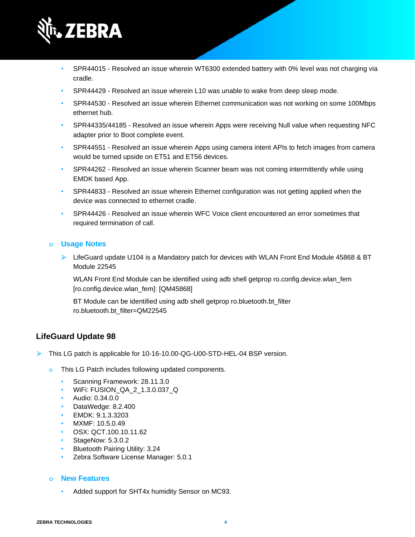

- SPR44015 Resolved an issue wherein WT6300 extended battery with 0% level was not charging via cradle.
- SPR44429 Resolved an issue wherein L10 was unable to wake from deep sleep mode.
- SPR44530 Resolved an issue wherein Ethernet communication was not working on some 100Mbps ethernet hub.
- SPR44335/44185 Resolved an issue wherein Apps were receiving Null value when requesting NFC adapter prior to Boot complete event.
- SPR44551 Resolved an issue wherein Apps using camera intent APIs to fetch images from camera would be turned upside on ET51 and ET56 devices.
- SPR44262 Resolved an issue wherein Scanner beam was not coming intermittently while using EMDK based App.
- SPR44833 Resolved an issue wherein Ethernet configuration was not getting applied when the device was connected to ethernet cradle.
- SPR44426 Resolved an issue wherein WFC Voice client encountered an error sometimes that required termination of call.

➢ LifeGuard update U104 is a Mandatory patch for devices with WLAN Front End Module 45868 & BT Module 22545

WLAN Front End Module can be identified using adb shell getprop ro.config.device.wlan\_fem [ro.config.device.wlan\_fem]: [QM45868]

BT Module can be identified using adb shell getprop ro.bluetooth.bt\_filter ro.bluetooth.bt\_filter=QM22545

### **LifeGuard Update 98**

➢ This LG patch is applicable for 10-16-10.00-QG-U00-STD-HEL-04 BSP version.

- **o** This LG Patch includes following updated components.
	- Scanning Framework: 28.11.3.0
	- WiFi: FUSION\_QA\_2\_1.3.0.037\_Q
	- Audio: 0.34.0.0
	- DataWedge: 8.2.400
	- EMDK: 9.1.3.3203
	- MXMF: 10.5.0.49
	- OSX: QCT.100.10.11.62
	- StageNow: 5.3.0.2
	- Bluetooth Pairing Utility: 3.24
	- Zebra Software License Manager: 5.0.1

#### **o New Features**

Added support for SHT4x humidity Sensor on MC93.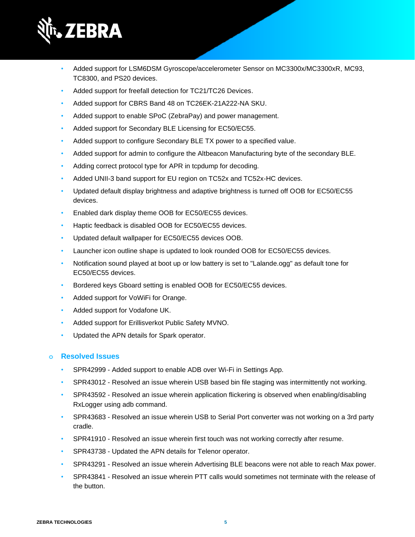

- Added support for LSM6DSM Gyroscope/accelerometer Sensor on MC3300x/MC3300xR, MC93, TC8300, and PS20 devices.
- Added support for freefall detection for TC21/TC26 Devices.
- Added support for CBRS Band 48 on TC26EK-21A222-NA SKU.
- Added support to enable SPoC (ZebraPay) and power management.
- Added support for Secondary BLE Licensing for EC50/EC55.
- Added support to configure Secondary BLE TX power to a specified value.
- Added support for admin to configure the Altbeacon Manufacturing byte of the secondary BLE.
- Adding correct protocol type for APR in tcpdump for decoding.
- Added UNII-3 band support for EU region on TC52x and TC52x-HC devices.
- Updated default display brightness and adaptive brightness is turned off OOB for EC50/EC55 devices.
- Enabled dark display theme OOB for EC50/EC55 devices.
- Haptic feedback is disabled OOB for EC50/EC55 devices.
- Updated default wallpaper for EC50/EC55 devices OOB.
- Launcher icon outline shape is updated to look rounded OOB for EC50/EC55 devices.
- Notification sound played at boot up or low battery is set to "Lalande.ogg" as default tone for EC50/EC55 devices.
- Bordered keys Gboard setting is enabled OOB for EC50/EC55 devices.
- Added support for VoWiFi for Orange.
- Added support for Vodafone UK.
- Added support for Erillisverkot Public Safety MVNO.
- Updated the APN details for Spark operator.

- SPR42999 Added support to enable ADB over Wi-Fi in Settings App.
- SPR43012 Resolved an issue wherein USB based bin file staging was intermittently not working.
- SPR43592 Resolved an issue wherein application flickering is observed when enabling/disabling RxLogger using adb command.
- SPR43683 Resolved an issue wherein USB to Serial Port converter was not working on a 3rd party cradle.
- SPR41910 Resolved an issue wherein first touch was not working correctly after resume.
- SPR43738 Updated the APN details for Telenor operator.
- SPR43291 Resolved an issue wherein Advertising BLE beacons were not able to reach Max power.
- SPR43841 Resolved an issue wherein PTT calls would sometimes not terminate with the release of the button.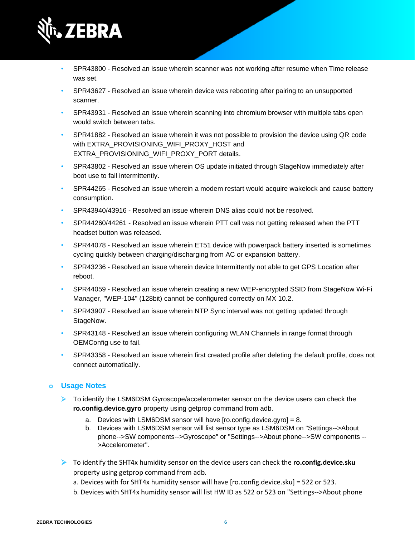

- SPR43800 Resolved an issue wherein scanner was not working after resume when Time release was set.
- SPR43627 Resolved an issue wherein device was rebooting after pairing to an unsupported scanner.
- SPR43931 Resolved an issue wherein scanning into chromium browser with multiple tabs open would switch between tabs.
- SPR41882 Resolved an issue wherein it was not possible to provision the device using QR code with EXTRA\_PROVISIONING\_WIFI\_PROXY\_HOST and EXTRA\_PROVISIONING\_WIFI\_PROXY\_PORT details.
- SPR43802 Resolved an issue wherein OS update initiated through StageNow immediately after boot use to fail intermittently.
- SPR44265 Resolved an issue wherein a modem restart would acquire wakelock and cause battery consumption.
- SPR43940/43916 Resolved an issue wherein DNS alias could not be resolved.
- SPR44260/44261 Resolved an issue wherein PTT call was not getting released when the PTT headset button was released.
- SPR44078 Resolved an issue wherein ET51 device with powerpack battery inserted is sometimes cycling quickly between charging/discharging from AC or expansion battery.
- SPR43236 Resolved an issue wherein device Intermittently not able to get GPS Location after reboot.
- SPR44059 Resolved an issue wherein creating a new WEP-encrypted SSID from StageNow Wi-Fi Manager, "WEP-104" (128bit) cannot be configured correctly on MX 10.2.
- SPR43907 Resolved an issue wherein NTP Sync interval was not getting updated through StageNow.
- SPR43148 Resolved an issue wherein configuring WLAN Channels in range format through OEMConfig use to fail.
- SPR43358 Resolved an issue wherein first created profile after deleting the default profile, does not connect automatically.

- ➢ To identify the LSM6DSM Gyroscope/accelerometer sensor on the device users can check the **ro.config.device.gyro** property using getprop command from adb.
	- a. Devices with LSM6DSM sensor will have  $[ro.config.device.gyro] = 8$ .
	- b. Devices with LSM6DSM sensor will list sensor type as LSM6DSM on "Settings-->About phone-->SW components-->Gyroscope" or "Settings-->About phone-->SW components -- >Accelerometer".
- ➢ To identify the SHT4x humidity sensor on the device users can check the **ro.config.device.sku** property using getprop command from adb.
	- a. Devices with for SHT4x humidity sensor will have [ro.config.device.sku] = 522 or 523.
	- b. Devices with SHT4x humidity sensor will list HW ID as 522 or 523 on "Settings-->About phone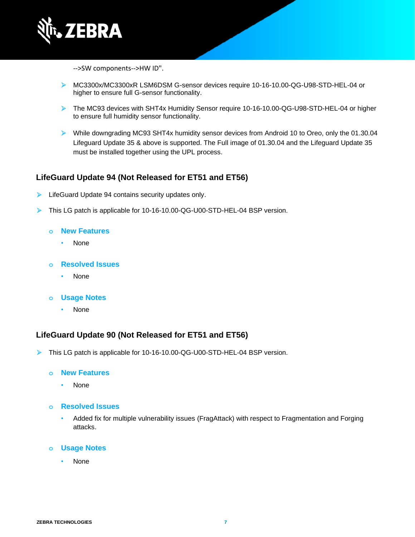

-->SW components-->HW ID".

- ➢ MC3300x/MC3300xR LSM6DSM G-sensor devices require 10-16-10.00-QG-U98-STD-HEL-04 or higher to ensure full G-sensor functionality.
- ➢ The MC93 devices with SHT4x Humidity Sensor require 10-16-10.00-QG-U98-STD-HEL-04 or higher to ensure full humidity sensor functionality.
- ➢ While downgrading MC93 SHT4x humidity sensor devices from Android 10 to Oreo, only the 01.30.04 Lifeguard Update 35 & above is supported. The Full image of 01.30.04 and the Lifeguard Update 35 must be installed together using the UPL process.

## **LifeGuard Update 94 (Not Released for ET51 and ET56)**

- LifeGuard Update 94 contains security updates only.
- ➢ This LG patch is applicable for 10-16-10.00-QG-U00-STD-HEL-04 BSP version.
	- **o New Features**
		- None
	- **o Resolved Issues**
		- None
	- **o Usage Notes**
		- None

## **LifeGuard Update 90 (Not Released for ET51 and ET56)**

➢ This LG patch is applicable for 10-16-10.00-QG-U00-STD-HEL-04 BSP version.

#### **o New Features**

- None
- **o Resolved Issues**
	- Added fix for multiple vulnerability issues (FragAttack) with respect to Fragmentation and Forging attacks.
- **o Usage Notes**
	- None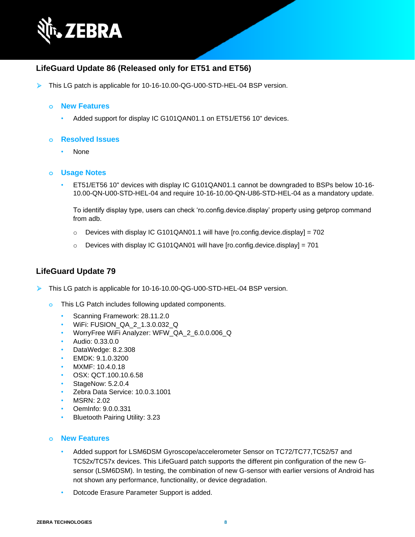

## **LifeGuard Update 86 (Released only for ET51 and ET56)**

➢ This LG patch is applicable for 10-16-10.00-QG-U00-STD-HEL-04 BSP version.

#### **o New Features**

• Added support for display IC G101QAN01.1 on ET51/ET56 10" devices.

#### **o Resolved Issues**

• None

#### **o Usage Notes**

• ET51/ET56 10" devices with display IC G101QAN01.1 cannot be downgraded to BSPs below 10-16- 10.00-QN-U00-STD-HEL-04 and require 10-16-10.00-QN-U86-STD-HEL-04 as a mandatory update.

To identify display type, users can check 'ro.config.device.display' property using getprop command from adb.

- $\circ$  Devices with display IC G101QAN01.1 will have [ro.config.device.display] = 702
- $\circ$  Devices with display IC G101QAN01 will have [ro.config.device.display] = 701

## **LifeGuard Update 79**

➢ This LG patch is applicable for 10-16-10.00-QG-U00-STD-HEL-04 BSP version.

- **o** This LG Patch includes following updated components.
	- Scanning Framework: 28.11.2.0
	- WiFi: FUSION\_QA\_2\_1.3.0.032\_Q
	- WorryFree WiFi Analyzer: WFW\_QA\_2\_6.0.0.006\_Q
	- Audio: 0.33.0.0
	- DataWedge: 8.2.308
	- EMDK: 9.1.0.3200
	- MXMF: 10.4.0.18
	- OSX: QCT.100.10.6.58
	- StageNow: 5.2.0.4
	- Zebra Data Service: 10.0.3.1001
	- MSRN: 2.02
	- OemInfo: 9.0.0.331
	- Bluetooth Pairing Utility: 3.23

#### **o New Features**

- Added support for LSM6DSM Gyroscope/accelerometer Sensor on TC72/TC77,TC52/57 and TC52x/TC57x devices. This LifeGuard patch supports the different pin configuration of the new Gsensor (LSM6DSM). In testing, the combination of new G-sensor with earlier versions of Android has not shown any performance, functionality, or device degradation.
- Dotcode Erasure Parameter Support is added.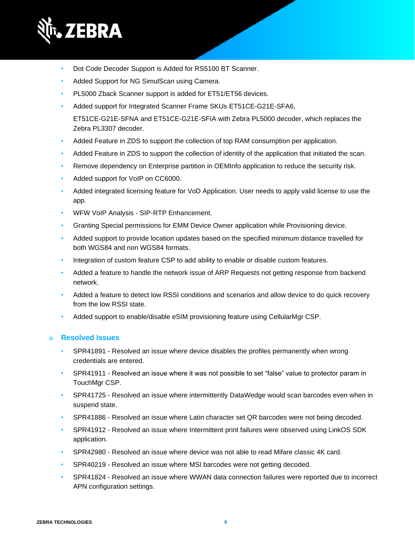

- Dot Code Decoder Support is Added for RS5100 BT Scanner.
- Added Support for NG SimulScan using Camera.
- PL5000 Zback Scanner support is added for ET51/ET56 devices.
- Added support for Integrated Scanner Frame SKUs ET51CE-G21E-SFA6,

ET51CE-G21E-SFNA and ET51CE-G21E-SFIA with Zebra PL5000 decoder, which replaces the Zebra PL3307 decoder.

- Added Feature in ZDS to support the collection of top RAM consumption per application.
- Added Feature in ZDS to support the collection of identity of the application that initiated the scan.
- Remove dependency on Enterprise partition in OEMInfo application to reduce the security risk.
- Added support for VoIP on CC6000.
- Added integrated licensing feature for VoD Application. User needs to apply valid license to use the app.
- WFW VoIP Analysis SIP-RTP Enhancement.
- Granting Special permissions for EMM Device Owner application while Provisioning device.
- Added support to provide location updates based on the specified minimum distance travelled for both WGS84 and non WGS84 formats.
- Integration of custom feature CSP to add ability to enable or disable custom features.
- Added a feature to handle the network issue of ARP Requests not getting response from backend network.
- Added a feature to detect low RSSI conditions and scenarios and allow device to do quick recovery from the low RSSI state.
- Added support to enable/disable eSIM provisioning feature using CellularMgr CSP.

- SPR41891 Resolved an issue where device disables the profiles permanently when wrong credentials are entered.
- SPR41911 Resolved an issue where it was not possible to set "false" value to protector param in TouchMgr CSP.
- SPR41725 Resolved an issue where intermittently DataWedge would scan barcodes even when in suspend state.
- SPR41886 Resolved an issue where Latin character set QR barcodes were not being decoded.
- SPR41912 Resolved an issue where Intermittent print failures were observed using LinkOS SDK application.
- SPR42980 Resolved an issue where device was not able to read Mifare classic 4K card.
- SPR40219 Resolved an issue where MSI barcodes were not getting decoded.
- SPR41824 Resolved an issue where WWAN data connection failures were reported due to incorrect APN configuration settings.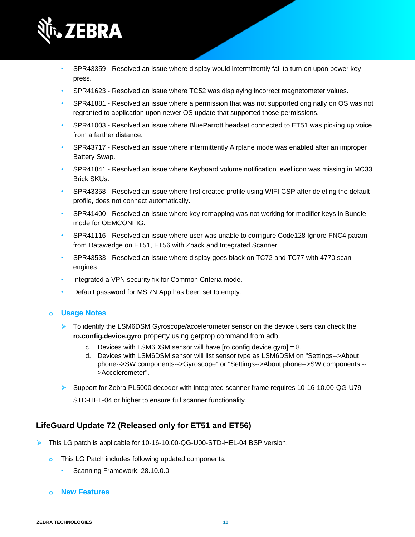

- SPR43359 Resolved an issue where display would intermittently fail to turn on upon power key press.
- SPR41623 Resolved an issue where TC52 was displaying incorrect magnetometer values.
- SPR41881 Resolved an issue where a permission that was not supported originally on OS was not regranted to application upon newer OS update that supported those permissions.
- SPR41003 Resolved an issue where BlueParrott headset connected to ET51 was picking up voice from a farther distance.
- SPR43717 Resolved an issue where intermittently Airplane mode was enabled after an improper Battery Swap.
- SPR41841 Resolved an issue where Keyboard volume notification level icon was missing in MC33 Brick SKUs.
- SPR43358 Resolved an issue where first created profile using WIFI CSP after deleting the default profile, does not connect automatically.
- SPR41400 Resolved an issue where key remapping was not working for modifier keys in Bundle mode for OEMCONFIG.
- SPR41116 Resolved an issue where user was unable to configure Code128 Ignore FNC4 param from Datawedge on ET51, ET56 with Zback and Integrated Scanner.
- SPR43533 Resolved an issue where display goes black on TC72 and TC77 with 4770 scan engines.
- Integrated a VPN security fix for Common Criteria mode.
- Default password for MSRN App has been set to empty.

- ➢ To identify the LSM6DSM Gyroscope/accelerometer sensor on the device users can check the **ro.config.device.gyro** property using getprop command from adb.
	- c. Devices with LSM6DSM sensor will have [ro.config.device.gyro] = 8.
	- d. Devices with LSM6DSM sensor will list sensor type as LSM6DSM on "Settings-->About phone-->SW components-->Gyroscope" or "Settings-->About phone-->SW components -- >Accelerometer".
- ➢ Support for Zebra PL5000 decoder with integrated scanner frame requires 10-16-10.00-QG-U79-

STD-HEL-04 or higher to ensure full scanner functionality.

## **LifeGuard Update 72 (Released only for ET51 and ET56)**

- ➢ This LG patch is applicable for 10-16-10.00-QG-U00-STD-HEL-04 BSP version.
	- **o** This LG Patch includes following updated components.
		- Scanning Framework: 28.10.0.0
	- **o New Features**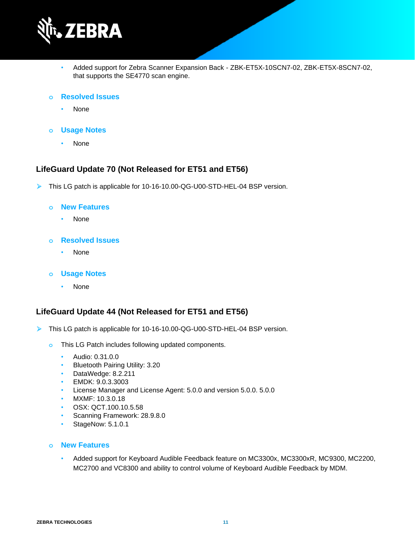

- Added support for Zebra Scanner Expansion Back ZBK-ET5X-10SCN7-02, ZBK-ET5X-8SCN7-02, that supports the SE4770 scan engine.
- **o Resolved Issues**
	- None
- **o Usage Notes**
	- None

### **LifeGuard Update 70 (Not Released for ET51 and ET56)**

➢ This LG patch is applicable for 10-16-10.00-QG-U00-STD-HEL-04 BSP version.

#### **o New Features**

- None
- **o Resolved Issues**
	- None
- **o Usage Notes**
	- None

### **LifeGuard Update 44 (Not Released for ET51 and ET56)**

- ➢ This LG patch is applicable for 10-16-10.00-QG-U00-STD-HEL-04 BSP version.
	- **o** This LG Patch includes following updated components.
		- Audio: 0.31.0.0
		- Bluetooth Pairing Utility: 3.20
		- DataWedge: 8.2.211
		- EMDK: 9.0.3.3003
		- License Manager and License Agent: 5.0.0 and version 5.0.0. 5.0.0
		- MXMF: 10.3.0.18
		- OSX: QCT.100.10.5.58
		- Scanning Framework: 28.9.8.0
		- StageNow: 5.1.0.1

#### **o New Features**

• Added support for Keyboard Audible Feedback feature on MC3300x, MC3300xR, MC9300, MC2200, MC2700 and VC8300 and ability to control volume of Keyboard Audible Feedback by MDM.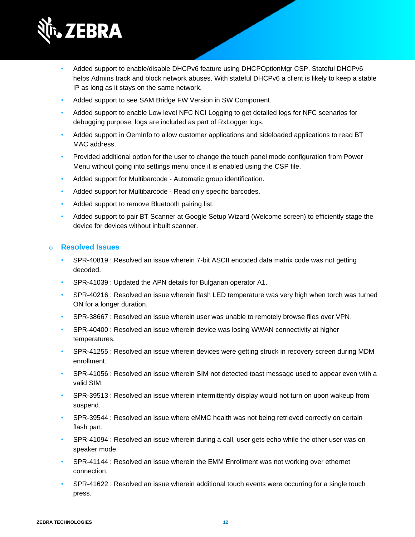

- Added support to enable/disable DHCPv6 feature using DHCPOptionMgr CSP. Stateful DHCPv6 helps Admins track and block network abuses. With stateful DHCPv6 a client is likely to keep a stable IP as long as it stays on the same network.
- Added support to see SAM Bridge FW Version in SW Component.
- Added support to enable Low level NFC NCI Logging to get detailed logs for NFC scenarios for debugging purpose, logs are included as part of RxLogger logs.
- Added support in OemInfo to allow customer applications and sideloaded applications to read BT MAC address.
- Provided additional option for the user to change the touch panel mode configuration from Power Menu without going into settings menu once it is enabled using the CSP file.
- Added support for Multibarcode Automatic group identification.
- Added support for Multibarcode Read only specific barcodes.
- Added support to remove Bluetooth pairing list.
- Added support to pair BT Scanner at Google Setup Wizard (Welcome screen) to efficiently stage the device for devices without inbuilt scanner.

- SPR-40819 : Resolved an issue wherein 7-bit ASCII encoded data matrix code was not getting decoded.
- SPR-41039 : Updated the APN details for Bulgarian operator A1.
- SPR-40216 : Resolved an issue wherein flash LED temperature was very high when torch was turned ON for a longer duration.
- SPR-38667 : Resolved an issue wherein user was unable to remotely browse files over VPN.
- SPR-40400 : Resolved an issue wherein device was losing WWAN connectivity at higher temperatures.
- SPR-41255 : Resolved an issue wherein devices were getting struck in recovery screen during MDM enrollment.
- SPR-41056 : Resolved an issue wherein SIM not detected toast message used to appear even with a valid SIM.
- SPR-39513 : Resolved an issue wherein intermittently display would not turn on upon wakeup from suspend.
- SPR-39544 : Resolved an issue where eMMC health was not being retrieved correctly on certain flash part.
- SPR-41094 : Resolved an issue wherein during a call, user gets echo while the other user was on speaker mode.
- SPR-41144 : Resolved an issue wherein the EMM Enrollment was not working over ethernet connection.
- SPR-41622 : Resolved an issue wherein additional touch events were occurring for a single touch press.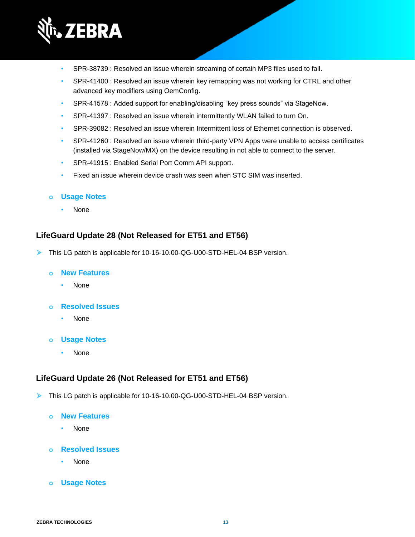

- SPR-38739 : Resolved an issue wherein streaming of certain MP3 files used to fail.
- SPR-41400 : Resolved an issue wherein key remapping was not working for CTRL and other advanced key modifiers using OemConfig.
- SPR-41578 : Added support for enabling/disabling "key press sounds" via StageNow.
- SPR-41397 : Resolved an issue wherein intermittently WLAN failed to turn On.
- SPR-39082 : Resolved an issue wherein Intermittent loss of Ethernet connection is observed.
- SPR-41260 : Resolved an issue wherein third-party VPN Apps were unable to access certificates (installed via StageNow/MX) on the device resulting in not able to connect to the server.
- SPR-41915 : Enabled Serial Port Comm API support.
- Fixed an issue wherein device crash was seen when STC SIM was inserted.

• None

## **LifeGuard Update 28 (Not Released for ET51 and ET56)**

➢ This LG patch is applicable for 10-16-10.00-QG-U00-STD-HEL-04 BSP version.

## **o New Features**

• None

## **o Resolved Issues**

- None
- **o Usage Notes**
	- None

## **LifeGuard Update 26 (Not Released for ET51 and ET56)**

- ➢ This LG patch is applicable for 10-16-10.00-QG-U00-STD-HEL-04 BSP version.
	- **o New Features**
		- None
	- **o Resolved Issues**
		- None
	- **o Usage Notes**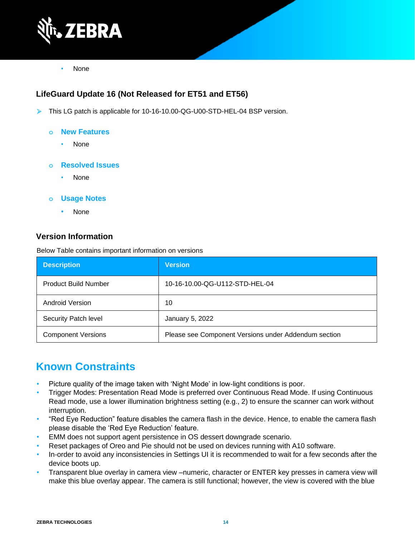

• None

## **LifeGuard Update 16 (Not Released for ET51 and ET56)**

- ➢ This LG patch is applicable for 10-16-10.00-QG-U00-STD-HEL-04 BSP version.
	- **o New Features**
		- None
	- **o Resolved Issues**
		- None
	- **o Usage Notes**
		- None

### **Version Information**

Below Table contains important information on versions

| <b>Description</b>          | <b>Version</b>                                       |
|-----------------------------|------------------------------------------------------|
| <b>Product Build Number</b> | 10-16-10.00-QG-U112-STD-HEL-04                       |
| Android Version             | 10                                                   |
| Security Patch level        | January 5, 2022                                      |
| <b>Component Versions</b>   | Please see Component Versions under Addendum section |

## **Known Constraints**

- Picture quality of the image taken with 'Night Mode' in low-light conditions is poor.
- Trigger Modes: Presentation Read Mode is preferred over Continuous Read Mode. If using Continuous Read mode, use a lower illumination brightness setting (e.g., 2) to ensure the scanner can work without interruption.
- "Red Eye Reduction" feature disables the camera flash in the device. Hence, to enable the camera flash please disable the 'Red Eye Reduction' feature.
- EMM does not support agent persistence in OS dessert downgrade scenario.
- Reset packages of Oreo and Pie should not be used on devices running with A10 software.
- In-order to avoid any inconsistencies in Settings UI it is recommended to wait for a few seconds after the device boots up.
- Transparent blue overlay in camera view –numeric, character or ENTER key presses in camera view will make this blue overlay appear. The camera is still functional; however, the view is covered with the blue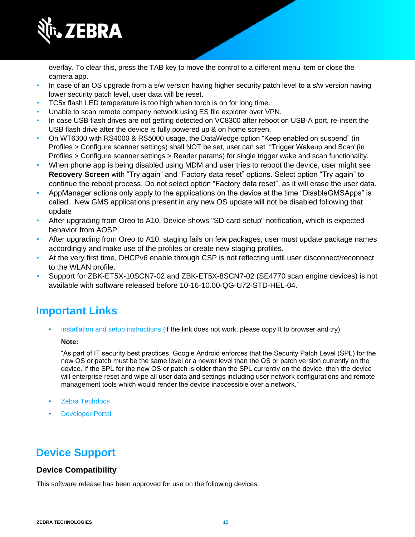

overlay. To clear this, press the TAB key to move the control to a different menu item or close the camera app.

- In case of an OS upgrade from a s/w version having higher security patch level to a s/w version having lower security patch level, user data will be reset.
- TC5x flash LED temperature is too high when torch is on for long time.
- Unable to scan remote company network using ES file explorer over VPN.
- In case USB flash drives are not getting detected on VC8300 after reboot on USB-A port, re-insert the USB flash drive after the device is fully powered up & on home screen.
- On WT6300 with RS4000 & RS5000 usage, the DataWedge option "Keep enabled on suspend" (in Profiles > Configure scanner settings) shall NOT be set, user can set "Trigger Wakeup and Scan"(in Profiles > Configure scanner settings > Reader params) for single trigger wake and scan functionality.
- When phone app is being disabled using MDM and user tries to reboot the device, user might see **Recovery Screen** with "Try again" and "Factory data reset" options. Select option "Try again" to continue the reboot process. Do not select option "Factory data reset", as it will erase the user data.
- AppManager actions only apply to the applications on the device at the time "DisableGMSApps" is called. New GMS applications present in any new OS update will not be disabled following that update
- After upgrading from Oreo to A10, Device shows "SD card setup" notification, which is expected behavior from AOSP.
- After upgrading from Oreo to A10, staging fails on few packages, user must update package names accordingly and make use of the profiles or create new staging profiles.
- At the very first time, DHCPv6 enable through CSP is not reflecting until user disconnect/reconnect to the WLAN profile.
- Support for ZBK-ET5X-10SCN7-02 and ZBK-ET5X-8SCN7-02 (SE4770 scan engine devices) is not available with software released before 10-16-10.00-QG-U72-STD-HEL-04.

## **Important Links**

[Installation and setup instructions](https://www.zebra.com/content/dam/zebra_new_ia/en-us/software/operating-system/helios/a10-os-update-instructions.pdf) (if the link does not work, please copy It to browser and try)

#### **Note:**

"As part of IT security best practices, Google Android enforces that the Security Patch Level (SPL) for the new OS or patch must be the same level or a newer level than the OS or patch version currently on the device. If the SPL for the new OS or patch is older than the SPL currently on the device, then the device will enterprise reset and wipe all user data and settings including user network configurations and remote management tools which would render the device inaccessible over a network."

- [Zebra Techdocs](http://techdocs.zebra.com/)
- **[Developer Portal](http://developer.zebra.com/)**

## **Device Support**

## **Device Compatibility**

This software release has been approved for use on the following devices.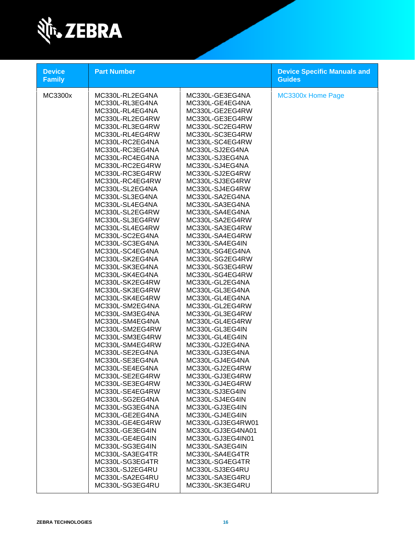

| MC3300x<br>MC330L-RL2EG4NA<br>MC330L-GE3EG4NA<br>MC330L-RL3EG4NA<br>MC330L-GE4EG4NA<br>MC330L-RL4EG4NA<br>MC330L-GE2EG4RW<br>MC330L-RL2EG4RW<br>MC330L-GE3EG4RW<br>MC330L-SC2EG4RW<br>MC330L-RL3EG4RW<br>MC330L-RL4EG4RW<br>MC330L-SC3EG4RW<br>MC330L-RC2EG4NA<br>MC330L-SC4EG4RW<br>MC330L-RC3EG4NA<br>MC330L-SJ2EG4NA<br>MC330L-RC4EG4NA<br>MC330L-SJ3EG4NA<br>MC330L-SJ4EG4NA<br>MC330L-RC2EG4RW<br>MC330L-RC3EG4RW<br>MC330L-SJ2EG4RW<br>MC330L-SJ3EG4RW<br>MC330L-RC4EG4RW<br>MC330L-SL2EG4NA<br>MC330L-SJ4EG4RW<br>MC330L-SL3EG4NA<br>MC330L-SA2EG4NA<br>MC330L-SL4EG4NA<br>MC330L-SA3EG4NA<br>MC330L-SL2EG4RW<br>MC330L-SA4EG4NA<br>MC330L-SL3EG4RW<br>MC330L-SA2EG4RW                                                                                                                                                                                                                                                                                                                                              | <b>Device Specific Manuals and</b><br><b>Guides</b> |
|----------------------------------------------------------------------------------------------------------------------------------------------------------------------------------------------------------------------------------------------------------------------------------------------------------------------------------------------------------------------------------------------------------------------------------------------------------------------------------------------------------------------------------------------------------------------------------------------------------------------------------------------------------------------------------------------------------------------------------------------------------------------------------------------------------------------------------------------------------------------------------------------------------------------------------------------------------------------------------------------------------------------------|-----------------------------------------------------|
| MC330L-SL4EG4RW<br>MC330L-SA3EG4RW<br>MC330L-SC2EG4NA<br>MC330L-SA4EG4RW<br>MC330L-SC3EG4NA<br>MC330L-SA4EG4IN<br>MC330L-SC4EG4NA<br>MC330L-SG4EG4NA<br>MC330L-SK2EG4NA<br>MC330L-SG2EG4RW<br>MC330L-SK3EG4NA<br>MC330L-SG3EG4RW<br>MC330L-SK4EG4NA<br>MC330L-SG4EG4RW<br>MC330L-SK2EG4RW<br>MC330L-GL2EG4NA<br>MC330L-SK3EG4RW<br>MC330L-GL3EG4NA<br>MC330L-SK4EG4RW<br>MC330L-GL4EG4NA<br>MC330L-SM2EG4NA<br>MC330L-GL2EG4RW<br>MC330L-SM3EG4NA<br>MC330L-GL3EG4RW<br>MC330L-SM4EG4NA<br>MC330L-GL4EG4RW<br>MC330L-SM2EG4RW<br>MC330L-GL3EG4IN<br>MC330L-SM3EG4RW<br>MC330L-GL4EG4IN<br>MC330L-SM4EG4RW<br>MC330L-GJ2EG4NA<br>MC330L-SE2EG4NA<br>MC330L-GJ3EG4NA<br>MC330L-SE3EG4NA<br>MC330L-GJ4EG4NA<br>MC330L-SE4EG4NA<br>MC330L-GJ2EG4RW<br>MC330L-SE2EG4RW<br>MC330L-GJ3EG4RW<br>MC330L-SE3EG4RW<br>MC330L-GJ4EG4RW<br>MC330L-SE4EG4RW<br>MC330L-SJ3EG4IN<br>MC330L-SG2EG4NA<br>MC330L-SJ4EG4IN<br>MC330L-SG3EG4NA<br>MC330L-GJ3EG4IN<br>MC330L-GE2EG4NA<br>MC330L-GJ4EG4IN<br>MC330L-GJ3EG4RW01<br>MC330L-GE4EG4RW | MC3300x Home Page                                   |
| MC330L-GE3EG4IN<br>MC330L-GJ3EG4NA01<br>MC330L-GE4EG4IN<br>MC330L-GJ3EG4IN01<br>MC330L-SG3EG4IN<br>MC330L-SA3EG4IN<br>MC330L-SA3EG4TR<br>MC330L-SA4EG4TR<br>MC330L-SG3EG4TR<br>MC330L-SG4EG4TR<br>MC330L-SJ2EG4RU<br>MC330L-SJ3EG4RU<br>MC330L-SA2EG4RU<br>MC330L-SA3EG4RU<br>MC330L-SG3EG4RU<br>MC330L-SK3EG4RU                                                                                                                                                                                                                                                                                                                                                                                                                                                                                                                                                                                                                                                                                                           |                                                     |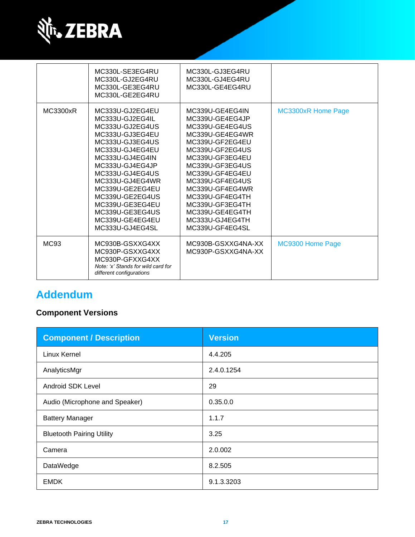

|          | MC330L-SE3EG4RU<br>MC330L-GJ2EG4RU<br>MC330L-GE3EG4RU<br>MC330L-GE2EG4RU                                                                                                                                                                                                                                     | MC330L-GJ3EG4RU<br>MC330L-GJ4EG4RU<br>MC330L-GE4EG4RU                                                                                                                                                                                                                                                        |                           |
|----------|--------------------------------------------------------------------------------------------------------------------------------------------------------------------------------------------------------------------------------------------------------------------------------------------------------------|--------------------------------------------------------------------------------------------------------------------------------------------------------------------------------------------------------------------------------------------------------------------------------------------------------------|---------------------------|
| MC3300xR | MC333U-GJ2EG4EU<br>MC333U-GJ2EG4IL<br>MC333U-GJ2EG4US<br>MC333U-GJ3EG4EU<br>MC333U-GJ3EG4US<br>MC333U-GJ4EG4EU<br>MC333U-GJ4EG4IN<br>MC333U-GJ4EG4JP<br>MC333U-GJ4EG4US<br>MC333U-GJ4EG4WR<br>MC339U-GE2EG4EU<br>MC339U-GE2EG4US<br>MC339U-GE3EG4EU<br>MC339U-GE3EG4US<br>MC339U-GE4EG4EU<br>MC333U-GJ4EG4SL | MC339U-GE4EG4IN<br>MC339U-GE4EG4JP<br>MC339U-GE4EG4US<br>MC339U-GE4EG4WR<br>MC339U-GF2EG4EU<br>MC339U-GF2EG4US<br>MC339U-GF3EG4EU<br>MC339U-GF3EG4US<br>MC339U-GF4EG4EU<br>MC339U-GF4EG4US<br>MC339U-GF4EG4WR<br>MC339U-GF4EG4TH<br>MC339U-GF3EG4TH<br>MC339U-GE4EG4TH<br>MC333U-GJ4EG4TH<br>MC339U-GF4EG4SL | <b>MC3300xR Home Page</b> |
| MC93     | MC930B-GSXXG4XX<br>MC930P-GSXXG4XX<br>MC930P-GFXXG4XX<br>Note: 'x' Stands for wild card for<br>different configurations                                                                                                                                                                                      | MC930B-GSXXG4NA-XX<br>MC930P-GSXXG4NA-XX                                                                                                                                                                                                                                                                     | MC9300 Home Page          |

## **Addendum**

## **Component Versions**

| <b>Component / Description</b>   | <b>Version</b> |
|----------------------------------|----------------|
| Linux Kernel                     | 4.4.205        |
| AnalyticsMgr                     | 2.4.0.1254     |
| Android SDK Level                | 29             |
| Audio (Microphone and Speaker)   | 0.35.0.0       |
| <b>Battery Manager</b>           | 1.1.7          |
| <b>Bluetooth Pairing Utility</b> | 3.25           |
| Camera                           | 2.0.002        |
| DataWedge                        | 8.2.505        |
| <b>EMDK</b>                      | 9.1.3.3203     |